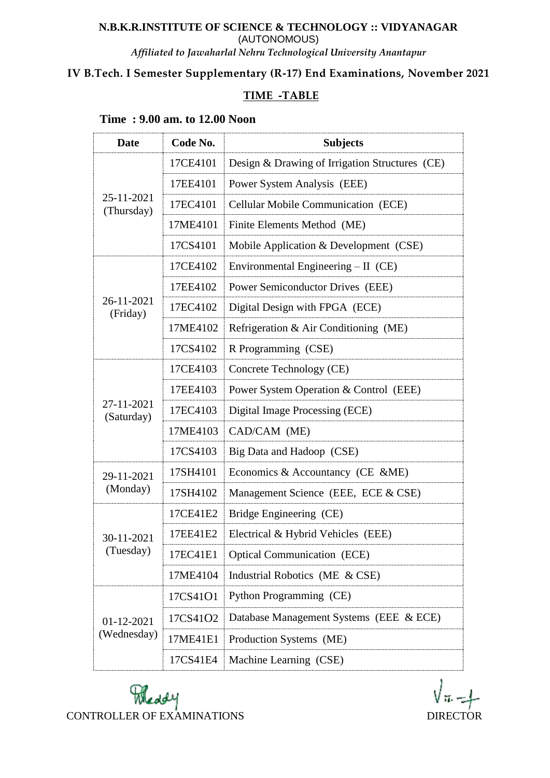#### **N.B.K.R.INSTITUTE OF SCIENCE & TECHNOLOGY :: VIDYANAGAR** (AUTONOMOUS) *Affiliated to Jawaharlal Nehru Technological University Anantapur*

### **IV B.Tech. I Semester Supplementary (R-17) End Examinations, November 2021**

### **TIME -TABLE**

## **Time : 9.00 am. to 12.00 Noon**

| <b>Date</b>               | Code No. | <b>Subjects</b>                                |
|---------------------------|----------|------------------------------------------------|
| 25-11-2021<br>(Thursday)  | 17CE4101 | Design & Drawing of Irrigation Structures (CE) |
|                           | 17EE4101 | Power System Analysis (EEE)                    |
|                           | 17EC4101 | <b>Cellular Mobile Communication (ECE)</b>     |
|                           | 17ME4101 | Finite Elements Method (ME)                    |
|                           | 17CS4101 | Mobile Application & Development (CSE)         |
| 26-11-2021<br>(Friday)    | 17CE4102 | Environmental Engineering $-$ II (CE)          |
|                           | 17EE4102 | Power Semiconductor Drives (EEE)               |
|                           | 17EC4102 | Digital Design with FPGA (ECE)                 |
|                           | 17ME4102 | Refrigeration & Air Conditioning (ME)          |
|                           | 17CS4102 | R Programming (CSE)                            |
| 27-11-2021<br>(Saturday)  | 17CE4103 | Concrete Technology (CE)                       |
|                           | 17EE4103 | Power System Operation & Control (EEE)         |
|                           | 17EC4103 | Digital Image Processing (ECE)                 |
|                           | 17ME4103 | CAD/CAM (ME)                                   |
|                           | 17CS4103 | Big Data and Hadoop (CSE)                      |
| 29-11-2021<br>(Monday)    | 17SH4101 | Economics & Accountancy (CE &ME)               |
|                           | 17SH4102 | Management Science (EEE, ECE & CSE)            |
| 30-11-2021<br>(Tuesday)   | 17CE41E2 | Bridge Engineering (CE)                        |
|                           | 17EE41E2 | Electrical & Hybrid Vehicles (EEE)             |
|                           | 17EC41E1 | <b>Optical Communication (ECE)</b>             |
|                           | 17ME4104 | Industrial Robotics (ME & CSE)                 |
| 01-12-2021<br>(Wednesday) | 17CS41O1 | Python Programming (CE)                        |
|                           | 17CS41O2 | Database Management Systems (EEE & ECE)        |
|                           | 17ME41E1 | Production Systems (ME)                        |
|                           | 17CS41E4 | Machine Learning (CSE)                         |

Meddy CONTROLLER OF EXAMINATIONS DIRECTOR